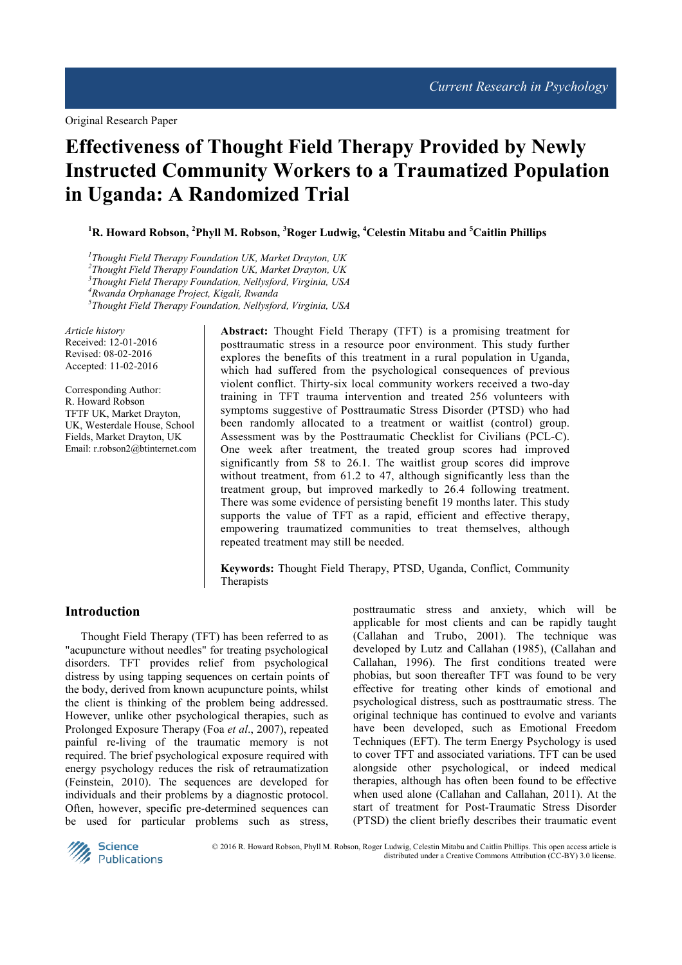# **Effectiveness of Thought Field Therapy Provided by Newly Instructed Community Workers to a Traumatized Population in Uganda: A Randomized Trial**

**<sup>1</sup>R. Howard Robson, <sup>2</sup>Phyll M. Robson, <sup>3</sup>Roger Ludwig, <sup>4</sup>Celestin Mitabu and <sup>5</sup>Caitlin Phillips**

 *Thought Field Therapy Foundation UK, Market Drayton, UK Thought Field Therapy Foundation UK, Market Drayton, UK Thought Field Therapy Foundation, Nellysford, Virginia, USA Rwanda Orphanage Project, Kigali, Rwanda Thought Field Therapy Foundation, Nellysford, Virginia, USA* 

*Article history*  Received: 12-01-2016 Revised: 08-02-2016 Accepted: 11-02-2016

Corresponding Author: R. Howard Robson TFTF UK, Market Drayton, UK, Westerdale House, School Fields, Market Drayton, UK Email: r.robson2@btinternet.com **Abstract:** Thought Field Therapy (TFT) is a promising treatment for posttraumatic stress in a resource poor environment. This study further explores the benefits of this treatment in a rural population in Uganda, which had suffered from the psychological consequences of previous violent conflict. Thirty-six local community workers received a two-day training in TFT trauma intervention and treated 256 volunteers with symptoms suggestive of Posttraumatic Stress Disorder (PTSD) who had been randomly allocated to a treatment or waitlist (control) group. Assessment was by the Posttraumatic Checklist for Civilians (PCL-C). One week after treatment, the treated group scores had improved significantly from 58 to 26.1. The waitlist group scores did improve without treatment, from 61.2 to 47, although significantly less than the treatment group, but improved markedly to 26.4 following treatment. There was some evidence of persisting benefit 19 months later. This study supports the value of TFT as a rapid, efficient and effective therapy, empowering traumatized communities to treat themselves, although repeated treatment may still be needed.

**Keywords:** Thought Field Therapy, PTSD, Uganda, Conflict, Community **Therapists** 

## **Introduction**

Thought Field Therapy (TFT) has been referred to as "acupuncture without needles" for treating psychological disorders. TFT provides relief from psychological distress by using tapping sequences on certain points of the body, derived from known acupuncture points, whilst the client is thinking of the problem being addressed. However, unlike other psychological therapies, such as Prolonged Exposure Therapy (Foa *et al*., 2007), repeated painful re-living of the traumatic memory is not required. The brief psychological exposure required with energy psychology reduces the risk of retraumatization (Feinstein, 2010). The sequences are developed for individuals and their problems by a diagnostic protocol. Often, however, specific pre-determined sequences can be used for particular problems such as stress,

posttraumatic stress and anxiety, which will be applicable for most clients and can be rapidly taught (Callahan and Trubo, 2001). The technique was developed by Lutz and Callahan (1985), (Callahan and Callahan, 1996). The first conditions treated were phobias, but soon thereafter TFT was found to be very effective for treating other kinds of emotional and psychological distress, such as posttraumatic stress. The original technique has continued to evolve and variants have been developed, such as Emotional Freedom Techniques (EFT). The term Energy Psychology is used to cover TFT and associated variations. TFT can be used alongside other psychological, or indeed medical therapies, although has often been found to be effective when used alone (Callahan and Callahan, 2011). At the start of treatment for Post-Traumatic Stress Disorder (PTSD) the client briefly describes their traumatic event



© 2016 R. Howard Robson, Phyll M. Robson, Roger Ludwig, Celestin Mitabu and Caitlin Phillips. This open access article is distributed under a Creative Commons Attribution (CC-BY) 3.0 license.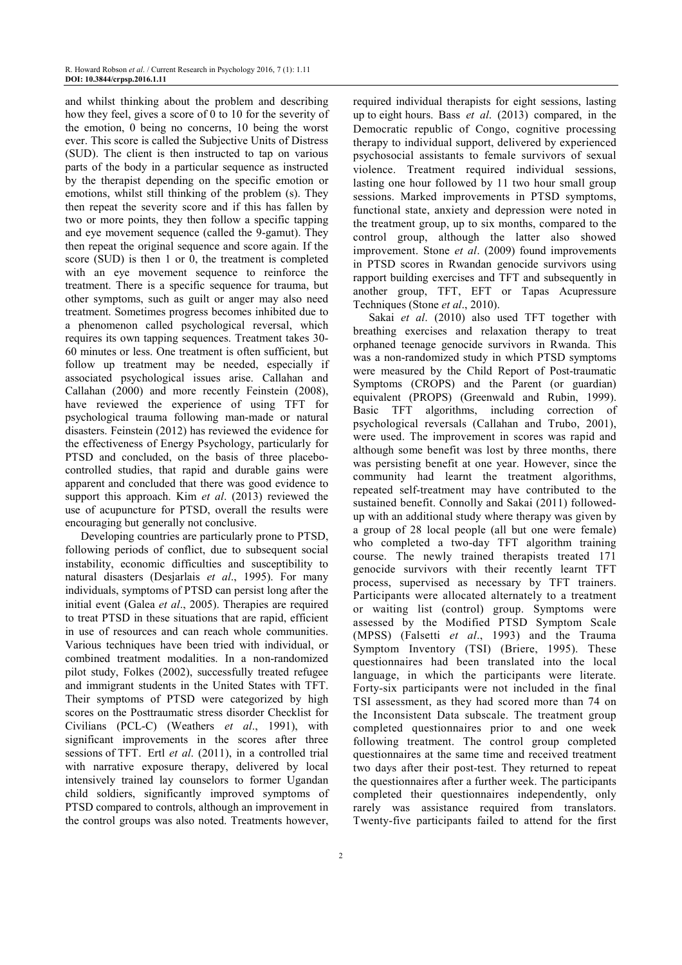and whilst thinking about the problem and describing how they feel, gives a score of 0 to 10 for the severity of the emotion, 0 being no concerns, 10 being the worst ever. This score is called the Subjective Units of Distress (SUD). The client is then instructed to tap on various parts of the body in a particular sequence as instructed by the therapist depending on the specific emotion or emotions, whilst still thinking of the problem (s). They then repeat the severity score and if this has fallen by two or more points, they then follow a specific tapping and eye movement sequence (called the 9-gamut). They then repeat the original sequence and score again. If the score (SUD) is then 1 or 0, the treatment is completed with an eye movement sequence to reinforce the treatment. There is a specific sequence for trauma, but other symptoms, such as guilt or anger may also need treatment. Sometimes progress becomes inhibited due to a phenomenon called psychological reversal, which requires its own tapping sequences. Treatment takes 30- 60 minutes or less. One treatment is often sufficient, but follow up treatment may be needed, especially if associated psychological issues arise. Callahan and Callahan (2000) and more recently Feinstein (2008), have reviewed the experience of using TFT for psychological trauma following man-made or natural disasters. Feinstein (2012) has reviewed the evidence for the effectiveness of Energy Psychology, particularly for PTSD and concluded, on the basis of three placebocontrolled studies, that rapid and durable gains were apparent and concluded that there was good evidence to support this approach. Kim *et al*. (2013) reviewed the use of acupuncture for PTSD, overall the results were encouraging but generally not conclusive.

Developing countries are particularly prone to PTSD, following periods of conflict, due to subsequent social instability, economic difficulties and susceptibility to natural disasters (Desjarlais *et al*., 1995). For many individuals, symptoms of PTSD can persist long after the initial event (Galea *et al*., 2005). Therapies are required to treat PTSD in these situations that are rapid, efficient in use of resources and can reach whole communities. Various techniques have been tried with individual, or combined treatment modalities. In a non-randomized pilot study, Folkes (2002), successfully treated refugee and immigrant students in the United States with TFT. Their symptoms of PTSD were categorized by high scores on the Posttraumatic stress disorder Checklist for Civilians (PCL-C) (Weathers *et al*., 1991), with significant improvements in the scores after three sessions of TFT. Ertl *et al*. (2011), in a controlled trial with narrative exposure therapy, delivered by local intensively trained lay counselors to former Ugandan child soldiers, significantly improved symptoms of PTSD compared to controls, although an improvement in the control groups was also noted. Treatments however,

required individual therapists for eight sessions, lasting up to eight hours. Bass *et al*. (2013) compared, in the Democratic republic of Congo, cognitive processing therapy to individual support, delivered by experienced psychosocial assistants to female survivors of sexual violence. Treatment required individual sessions, lasting one hour followed by 11 two hour small group sessions. Marked improvements in PTSD symptoms, functional state, anxiety and depression were noted in the treatment group, up to six months, compared to the control group, although the latter also showed improvement. Stone *et al*. (2009) found improvements in PTSD scores in Rwandan genocide survivors using rapport building exercises and TFT and subsequently in another group, TFT, EFT or Tapas Acupressure Techniques (Stone *et al*., 2010).

Sakai *et al*. (2010) also used TFT together with breathing exercises and relaxation therapy to treat orphaned teenage genocide survivors in Rwanda. This was a non-randomized study in which PTSD symptoms were measured by the Child Report of Post-traumatic Symptoms (CROPS) and the Parent (or guardian) equivalent (PROPS) (Greenwald and Rubin, 1999). Basic TFT algorithms, including correction of psychological reversals (Callahan and Trubo, 2001), were used. The improvement in scores was rapid and although some benefit was lost by three months, there was persisting benefit at one year. However, since the community had learnt the treatment algorithms, repeated self-treatment may have contributed to the sustained benefit. Connolly and Sakai (2011) followedup with an additional study where therapy was given by a group of 28 local people (all but one were female) who completed a two-day TFT algorithm training course. The newly trained therapists treated 171 genocide survivors with their recently learnt TFT process, supervised as necessary by TFT trainers. Participants were allocated alternately to a treatment or waiting list (control) group. Symptoms were assessed by the Modified PTSD Symptom Scale (MPSS) (Falsetti *et al*., 1993) and the Trauma Symptom Inventory (TSI) (Briere, 1995). These questionnaires had been translated into the local language, in which the participants were literate. Forty-six participants were not included in the final TSI assessment, as they had scored more than 74 on the Inconsistent Data subscale. The treatment group completed questionnaires prior to and one week following treatment. The control group completed questionnaires at the same time and received treatment two days after their post-test. They returned to repeat the questionnaires after a further week. The participants completed their questionnaires independently, only rarely was assistance required from translators. Twenty-five participants failed to attend for the first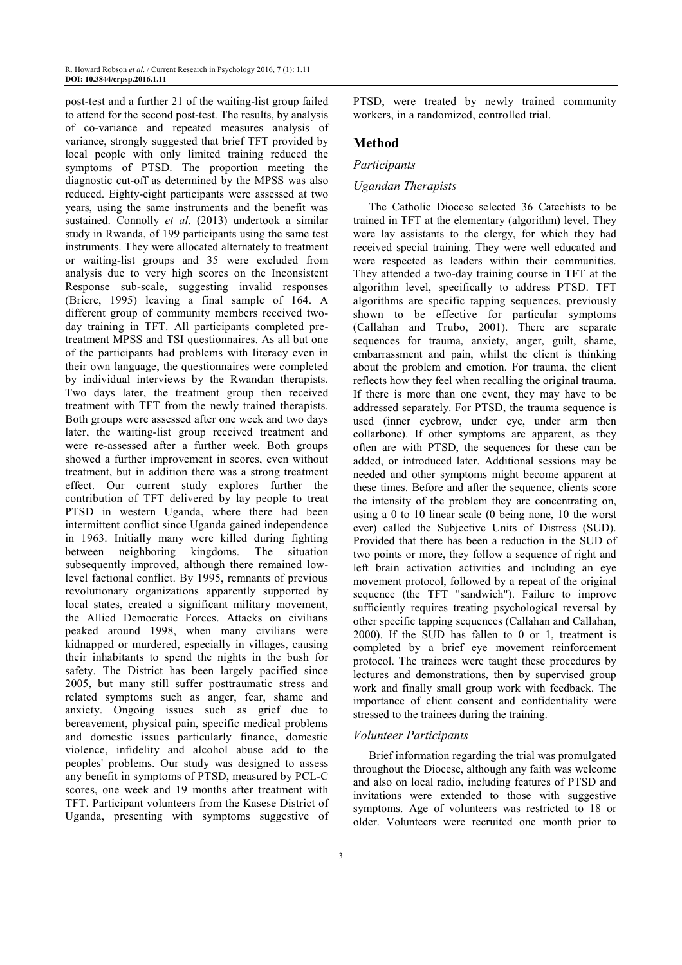post-test and a further 21 of the waiting-list group failed to attend for the second post-test. The results, by analysis of co-variance and repeated measures analysis of variance, strongly suggested that brief TFT provided by local people with only limited training reduced the symptoms of PTSD. The proportion meeting the diagnostic cut-off as determined by the MPSS was also reduced. Eighty-eight participants were assessed at two years, using the same instruments and the benefit was sustained. Connolly *et al*. (2013) undertook a similar study in Rwanda, of 199 participants using the same test instruments. They were allocated alternately to treatment or waiting-list groups and 35 were excluded from analysis due to very high scores on the Inconsistent Response sub-scale, suggesting invalid responses (Briere, 1995) leaving a final sample of 164. A different group of community members received twoday training in TFT. All participants completed pretreatment MPSS and TSI questionnaires. As all but one of the participants had problems with literacy even in their own language, the questionnaires were completed by individual interviews by the Rwandan therapists. Two days later, the treatment group then received treatment with TFT from the newly trained therapists. Both groups were assessed after one week and two days later, the waiting-list group received treatment and were re-assessed after a further week. Both groups showed a further improvement in scores, even without treatment, but in addition there was a strong treatment effect. Our current study explores further the contribution of TFT delivered by lay people to treat PTSD in western Uganda, where there had been intermittent conflict since Uganda gained independence in 1963. Initially many were killed during fighting between neighboring kingdoms. The situation subsequently improved, although there remained lowlevel factional conflict. By 1995, remnants of previous revolutionary organizations apparently supported by local states, created a significant military movement, the Allied Democratic Forces. Attacks on civilians peaked around 1998, when many civilians were kidnapped or murdered, especially in villages, causing their inhabitants to spend the nights in the bush for safety. The District has been largely pacified since 2005, but many still suffer posttraumatic stress and related symptoms such as anger, fear, shame and anxiety. Ongoing issues such as grief due to bereavement, physical pain, specific medical problems and domestic issues particularly finance, domestic violence, infidelity and alcohol abuse add to the peoples' problems. Our study was designed to assess any benefit in symptoms of PTSD, measured by PCL-C scores, one week and 19 months after treatment with TFT. Participant volunteers from the Kasese District of Uganda, presenting with symptoms suggestive of PTSD, were treated by newly trained community workers, in a randomized, controlled trial.

# **Method**

## *Participants*

# *Ugandan Therapists*

The Catholic Diocese selected 36 Catechists to be trained in TFT at the elementary (algorithm) level. They were lay assistants to the clergy, for which they had received special training. They were well educated and were respected as leaders within their communities. They attended a two-day training course in TFT at the algorithm level, specifically to address PTSD. TFT algorithms are specific tapping sequences, previously shown to be effective for particular symptoms (Callahan and Trubo, 2001). There are separate sequences for trauma, anxiety, anger, guilt, shame, embarrassment and pain, whilst the client is thinking about the problem and emotion. For trauma, the client reflects how they feel when recalling the original trauma. If there is more than one event, they may have to be addressed separately. For PTSD, the trauma sequence is used (inner eyebrow, under eye, under arm then collarbone). If other symptoms are apparent, as they often are with PTSD, the sequences for these can be added, or introduced later. Additional sessions may be needed and other symptoms might become apparent at these times. Before and after the sequence, clients score the intensity of the problem they are concentrating on, using a 0 to 10 linear scale (0 being none, 10 the worst ever) called the Subjective Units of Distress (SUD). Provided that there has been a reduction in the SUD of two points or more, they follow a sequence of right and left brain activation activities and including an eye movement protocol, followed by a repeat of the original sequence (the TFT "sandwich"). Failure to improve sufficiently requires treating psychological reversal by other specific tapping sequences (Callahan and Callahan, 2000). If the SUD has fallen to 0 or 1, treatment is completed by a brief eye movement reinforcement protocol. The trainees were taught these procedures by lectures and demonstrations, then by supervised group work and finally small group work with feedback. The importance of client consent and confidentiality were stressed to the trainees during the training.

### *Volunteer Participants*

Brief information regarding the trial was promulgated throughout the Diocese, although any faith was welcome and also on local radio, including features of PTSD and invitations were extended to those with suggestive symptoms. Age of volunteers was restricted to 18 or older. Volunteers were recruited one month prior to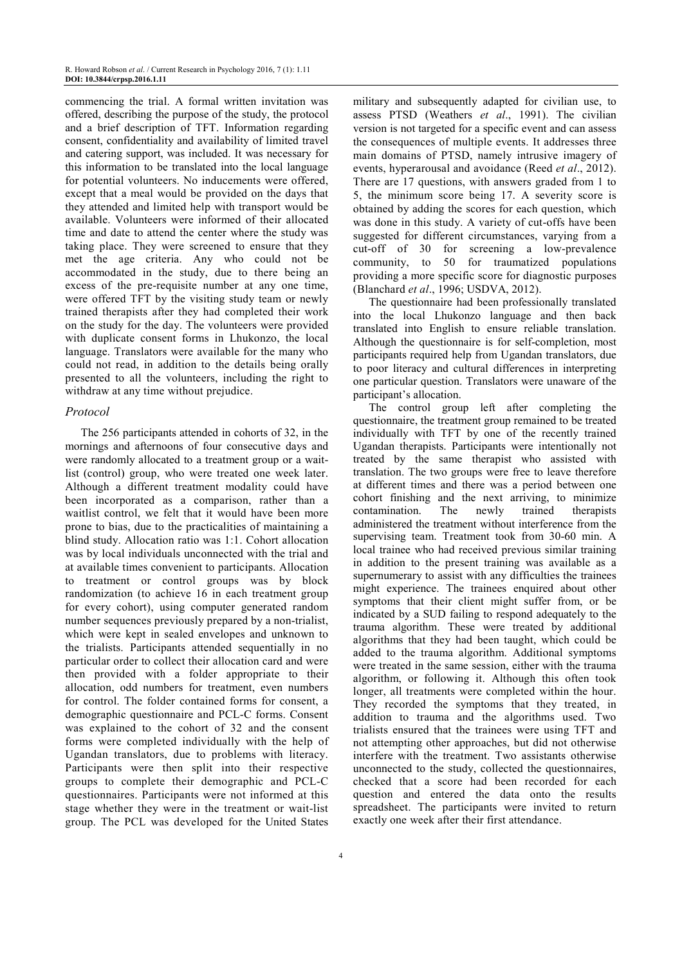commencing the trial. A formal written invitation was offered, describing the purpose of the study, the protocol and a brief description of TFT. Information regarding consent, confidentiality and availability of limited travel and catering support, was included. It was necessary for this information to be translated into the local language for potential volunteers. No inducements were offered, except that a meal would be provided on the days that they attended and limited help with transport would be available. Volunteers were informed of their allocated time and date to attend the center where the study was taking place. They were screened to ensure that they met the age criteria. Any who could not be accommodated in the study, due to there being an excess of the pre-requisite number at any one time, were offered TFT by the visiting study team or newly trained therapists after they had completed their work on the study for the day. The volunteers were provided with duplicate consent forms in Lhukonzo, the local language. Translators were available for the many who could not read, in addition to the details being orally presented to all the volunteers, including the right to withdraw at any time without prejudice.

## *Protocol*

The 256 participants attended in cohorts of 32, in the mornings and afternoons of four consecutive days and were randomly allocated to a treatment group or a waitlist (control) group, who were treated one week later. Although a different treatment modality could have been incorporated as a comparison, rather than a waitlist control, we felt that it would have been more prone to bias, due to the practicalities of maintaining a blind study. Allocation ratio was 1:1. Cohort allocation was by local individuals unconnected with the trial and at available times convenient to participants. Allocation to treatment or control groups was by block randomization (to achieve 16 in each treatment group for every cohort), using computer generated random number sequences previously prepared by a non-trialist, which were kept in sealed envelopes and unknown to the trialists. Participants attended sequentially in no particular order to collect their allocation card and were then provided with a folder appropriate to their allocation, odd numbers for treatment, even numbers for control. The folder contained forms for consent, a demographic questionnaire and PCL-C forms. Consent was explained to the cohort of 32 and the consent forms were completed individually with the help of Ugandan translators, due to problems with literacy. Participants were then split into their respective groups to complete their demographic and PCL-C questionnaires. Participants were not informed at this stage whether they were in the treatment or wait-list group. The PCL was developed for the United States

military and subsequently adapted for civilian use, to assess PTSD (Weathers *et al*., 1991). The civilian version is not targeted for a specific event and can assess the consequences of multiple events. It addresses three main domains of PTSD, namely intrusive imagery of events, hyperarousal and avoidance (Reed *et al*., 2012). There are 17 questions, with answers graded from 1 to 5, the minimum score being 17. A severity score is obtained by adding the scores for each question, which was done in this study. A variety of cut-offs have been suggested for different circumstances, varying from a cut-off of 30 for screening a low-prevalence community, to 50 for traumatized populations providing a more specific score for diagnostic purposes (Blanchard *et al*., 1996; USDVA, 2012).

The questionnaire had been professionally translated into the local Lhukonzo language and then back translated into English to ensure reliable translation. Although the questionnaire is for self-completion, most participants required help from Ugandan translators, due to poor literacy and cultural differences in interpreting one particular question. Translators were unaware of the participant's allocation.

The control group left after completing the questionnaire, the treatment group remained to be treated individually with TFT by one of the recently trained Ugandan therapists. Participants were intentionally not treated by the same therapist who assisted with translation. The two groups were free to leave therefore at different times and there was a period between one cohort finishing and the next arriving, to minimize contamination. The newly trained therapists administered the treatment without interference from the supervising team. Treatment took from 30-60 min. A local trainee who had received previous similar training in addition to the present training was available as a supernumerary to assist with any difficulties the trainees might experience. The trainees enquired about other symptoms that their client might suffer from, or be indicated by a SUD failing to respond adequately to the trauma algorithm. These were treated by additional algorithms that they had been taught, which could be added to the trauma algorithm. Additional symptoms were treated in the same session, either with the trauma algorithm, or following it. Although this often took longer, all treatments were completed within the hour. They recorded the symptoms that they treated, in addition to trauma and the algorithms used. Two trialists ensured that the trainees were using TFT and not attempting other approaches, but did not otherwise interfere with the treatment. Two assistants otherwise unconnected to the study, collected the questionnaires, checked that a score had been recorded for each question and entered the data onto the results spreadsheet. The participants were invited to return exactly one week after their first attendance.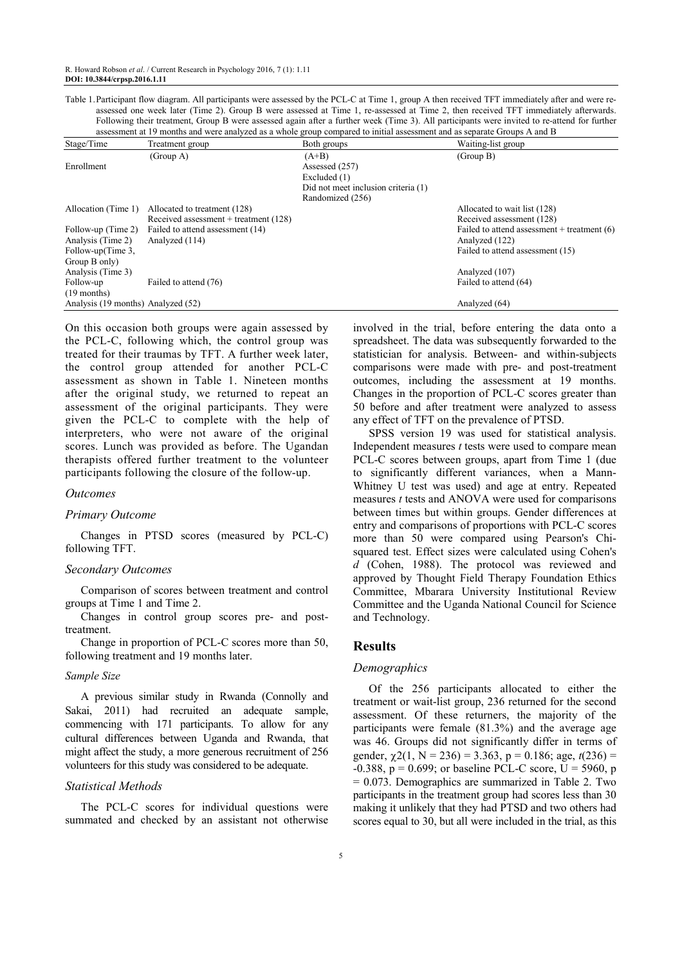Table 1. Participant flow diagram. All participants were assessed by the PCL-C at Time 1, group A then received TFT immediately after and were reassessed one week later (Time 2). Group B were assessed at Time 1, re-assessed at Time 2, then received TFT immediately afterwards. Following their treatment, Group B were assessed again after a further week (Time 3). All participants were invited to re-attend for further assessment at 19 months and were analyzed as a whole group compared to initial assessment and as separate Groups A and B

| Stage/Time                         | Treatment group                       | Both groups                         | Waiting-list group                            |
|------------------------------------|---------------------------------------|-------------------------------------|-----------------------------------------------|
|                                    | (Group A)                             | $(A+B)$                             | (Group B)                                     |
| Enrollment                         |                                       | Assessed (257)                      |                                               |
|                                    |                                       | Excluded (1)                        |                                               |
|                                    |                                       | Did not meet inclusion criteria (1) |                                               |
|                                    |                                       | Randomized (256)                    |                                               |
| Allocation (Time 1)                | Allocated to treatment (128)          |                                     | Allocated to wait list (128)                  |
|                                    | Received assessment + treatment (128) |                                     | Received assessment (128)                     |
| Follow-up (Time 2)                 | Failed to attend assessment (14)      |                                     | Failed to attend assessment + treatment $(6)$ |
| Analysis (Time 2)                  | Analyzed (114)                        |                                     | Analyzed (122)                                |
| Follow-up(Time 3.                  |                                       |                                     | Failed to attend assessment (15)              |
| Group B only)                      |                                       |                                     |                                               |
| Analysis (Time 3)                  |                                       |                                     | Analyzed (107)                                |
| Follow-up                          | Failed to attend (76)                 |                                     | Failed to attend (64)                         |
| $(19$ months)                      |                                       |                                     |                                               |
| Analysis (19 months) Analyzed (52) |                                       |                                     | Analyzed (64)                                 |

On this occasion both groups were again assessed by the PCL-C, following which, the control group was treated for their traumas by TFT. A further week later, the control group attended for another PCL-C assessment as shown in Table 1. Nineteen months after the original study, we returned to repeat an assessment of the original participants. They were given the PCL-C to complete with the help of interpreters, who were not aware of the original scores. Lunch was provided as before. The Ugandan therapists offered further treatment to the volunteer participants following the closure of the follow-up.

#### *Outcomes*

#### *Primary Outcome*

Changes in PTSD scores (measured by PCL-C) following TFT.

## *Secondary Outcomes*

Comparison of scores between treatment and control groups at Time 1 and Time 2.

Changes in control group scores pre- and posttreatment.

Change in proportion of PCL-C scores more than 50, following treatment and 19 months later.

## *Sample Size*

A previous similar study in Rwanda (Connolly and Sakai, 2011) had recruited an adequate sample, commencing with 171 participants. To allow for any cultural differences between Uganda and Rwanda, that might affect the study, a more generous recruitment of 256 volunteers for this study was considered to be adequate.

#### *Statistical Methods*

The PCL-C scores for individual questions were summated and checked by an assistant not otherwise

involved in the trial, before entering the data onto a spreadsheet. The data was subsequently forwarded to the statistician for analysis. Between- and within-subjects comparisons were made with pre- and post-treatment outcomes, including the assessment at 19 months. Changes in the proportion of PCL-C scores greater than 50 before and after treatment were analyzed to assess any effect of TFT on the prevalence of PTSD.

SPSS version 19 was used for statistical analysis. Independent measures *t* tests were used to compare mean PCL-C scores between groups, apart from Time 1 (due to significantly different variances, when a Mann-Whitney U test was used) and age at entry. Repeated measures *t* tests and ANOVA were used for comparisons between times but within groups. Gender differences at entry and comparisons of proportions with PCL-C scores more than 50 were compared using Pearson's Chisquared test. Effect sizes were calculated using Cohen's *d* (Cohen, 1988). The protocol was reviewed and approved by Thought Field Therapy Foundation Ethics Committee, Mbarara University Institutional Review Committee and the Uganda National Council for Science and Technology.

#### **Results**

#### *Demographics*

Of the 256 participants allocated to either the treatment or wait-list group, 236 returned for the second assessment. Of these returners, the majority of the participants were female (81.3%) and the average age was 46. Groups did not significantly differ in terms of gender,  $\gamma$ 2(1, N = 236) = 3.363, p = 0.186; age,  $t(236)$  =  $-0.388$ ,  $p = 0.699$ ; or baseline PCL-C score, U = 5960, p  $= 0.073$ . Demographics are summarized in Table 2. Two participants in the treatment group had scores less than 30 making it unlikely that they had PTSD and two others had scores equal to 30, but all were included in the trial, as this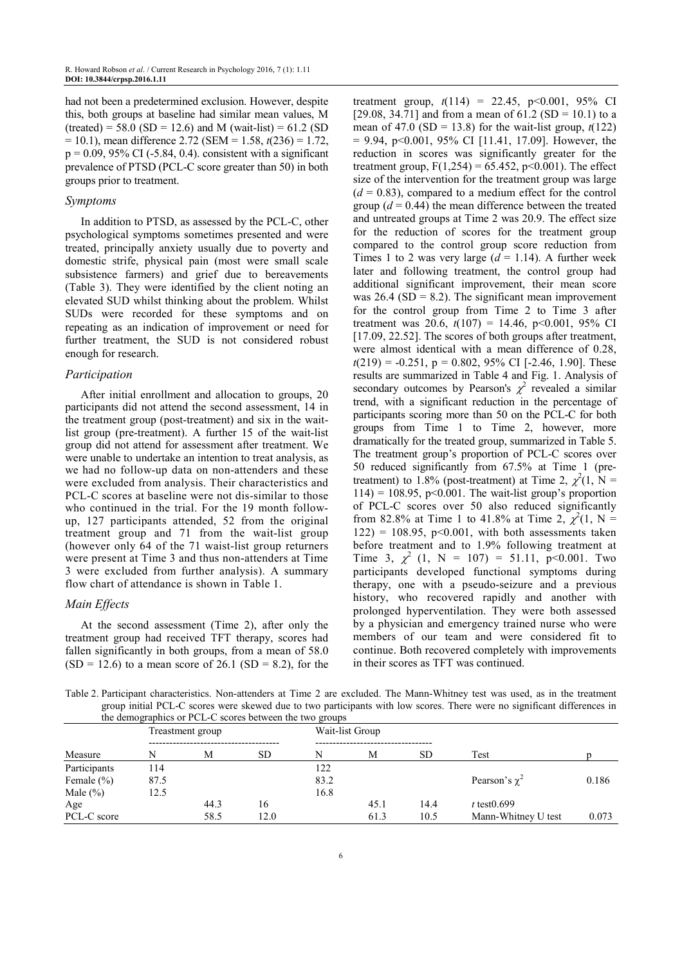had not been a predetermined exclusion. However, despite this, both groups at baseline had similar mean values, M  $(treated) = 58.0 (SD = 12.6)$  and M (wait-list) = 61.2 (SD) = 10.1), mean difference 2.72 (SEM = 1.58, *t*(236) = 1.72,  $p = 0.09$ , 95% CI (-5.84, 0.4). consistent with a significant prevalence of PTSD (PCL-C score greater than 50) in both groups prior to treatment.

### *Symptoms*

In addition to PTSD, as assessed by the PCL-C, other psychological symptoms sometimes presented and were treated, principally anxiety usually due to poverty and domestic strife, physical pain (most were small scale subsistence farmers) and grief due to bereavements (Table 3). They were identified by the client noting an elevated SUD whilst thinking about the problem. Whilst SUDs were recorded for these symptoms and on repeating as an indication of improvement or need for further treatment, the SUD is not considered robust enough for research.

### *Participation*

After initial enrollment and allocation to groups, 20 participants did not attend the second assessment, 14 in the treatment group (post-treatment) and six in the waitlist group (pre-treatment). A further 15 of the wait-list group did not attend for assessment after treatment. We were unable to undertake an intention to treat analysis, as we had no follow-up data on non-attenders and these were excluded from analysis. Their characteristics and PCL-C scores at baseline were not dis-similar to those who continued in the trial. For the 19 month followup, 127 participants attended, 52 from the original treatment group and 71 from the wait-list group (however only 64 of the 71 waist-list group returners were present at Time 3 and thus non-attenders at Time 3 were excluded from further analysis). A summary flow chart of attendance is shown in Table 1.

### *Main Effects*

At the second assessment (Time 2), after only the treatment group had received TFT therapy, scores had fallen significantly in both groups, from a mean of 58.0  $(SD = 12.6)$  to a mean score of 26.1  $(SD = 8.2)$ , for the

treatment group,  $t(114) = 22.45$ ,  $p<0.001$ , 95% CI [29.08, 34.71] and from a mean of  $61.2$  (SD = 10.1) to a mean of 47.0 (SD = 13.8) for the wait-list group,  $t(122)$  $= 9.94$ , p<0.001, 95% CI [11.41, 17.09]. However, the reduction in scores was significantly greater for the treatment group,  $F(1,254) = 65.452$ ,  $p<0.001$ ). The effect size of the intervention for the treatment group was large  $(d = 0.83)$ , compared to a medium effect for the control group  $(d = 0.44)$  the mean difference between the treated and untreated groups at Time 2 was 20.9. The effect size for the reduction of scores for the treatment group compared to the control group score reduction from Times 1 to 2 was very large  $(d = 1.14)$ . A further week later and following treatment, the control group had additional significant improvement, their mean score was  $26.4$  (SD = 8.2). The significant mean improvement for the control group from Time 2 to Time 3 after treatment was 20.6, *t*(107) = 14.46, p<0.001, 95% CI [17.09, 22.52]. The scores of both groups after treatment, were almost identical with a mean difference of 0.28,  $t(219) = -0.251$ ,  $p = 0.802$ , 95% CI [-2.46, 1.90]. These results are summarized in Table 4 and Fig. 1. Analysis of secondary outcomes by Pearson's  $\chi^2$  revealed a similar trend, with a significant reduction in the percentage of participants scoring more than 50 on the PCL-C for both groups from Time 1 to Time 2, however, more dramatically for the treated group, summarized in Table 5. The treatment group's proportion of PCL-C scores over 50 reduced significantly from 67.5% at Time 1 (pretreatment) to 1.8% (post-treatment) at Time 2,  $\chi^2(1, N =$  $114$ ) = 108.95, p<0.001. The wait-list group's proportion of PCL-C scores over 50 also reduced significantly from 82.8% at Time 1 to 41.8% at Time 2,  $\chi^2(1, N =$  $122$ ) = 108.95, p<0.001, with both assessments taken before treatment and to 1.9% following treatment at Time 3,  $\chi^2$  (1, N = 107) = 51.11, p<0.001. Two participants developed functional symptoms during therapy, one with a pseudo-seizure and a previous history, who recovered rapidly and another with prolonged hyperventilation. They were both assessed by a physician and emergency trained nurse who were members of our team and were considered fit to continue. Both recovered completely with improvements in their scores as TFT was continued.

Table 2. Participant characteristics. Non-attenders at Time 2 are excluded. The Mann-Whitney test was used, as in the treatment group initial PCL-C scores were skewed due to two participants with low scores. There were no significant differences in the demographics or PCL-C scores between the two groups

|                |      | Treastment group |           |      | Wait-list Group |           |                     |       |
|----------------|------|------------------|-----------|------|-----------------|-----------|---------------------|-------|
| Measure        |      | М                | <b>SD</b> | N    | М               | <b>SD</b> | Test                |       |
| Participants   | 114  |                  |           | 122  |                 |           |                     |       |
| Female $(\% )$ | 87.5 |                  |           | 83.2 |                 |           | Pearson's $\chi^2$  | 0.186 |
| Male $(\% )$   | 12.5 |                  |           | 16.8 |                 |           |                     |       |
| Age            |      | 44.3             | 16        |      | 45.1            | 14.4      | t test $0.699$      |       |
| PCL-C score    |      | 58.5             | 12.0      |      | 61.3            | 10.5      | Mann-Whitney U test | 0.073 |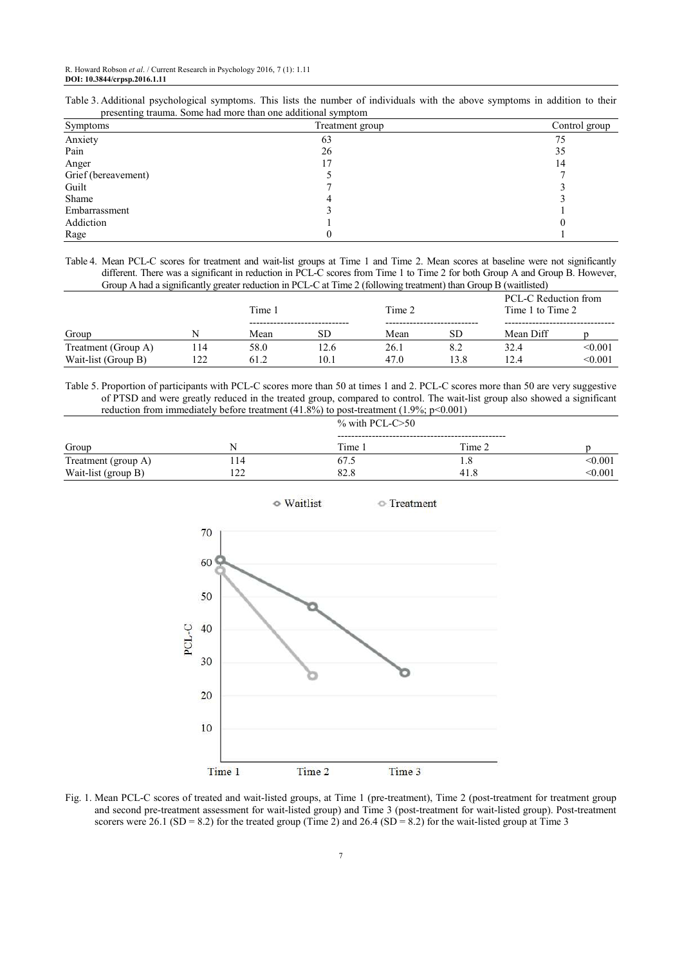| Table 3. Additional psychological symptoms. This lists the number of individuals with the above symptoms in addition to their |  |  |  |
|-------------------------------------------------------------------------------------------------------------------------------|--|--|--|
| presenting trauma. Some had more than one additional symptom                                                                  |  |  |  |

| Symptoms            | Treatment group | Control group |
|---------------------|-----------------|---------------|
| Anxiety             | 63              | 75            |
| Pain                | 26              | 35            |
| Anger               |                 | 14            |
| Grief (bereavement) |                 |               |
| Guilt               |                 |               |
| Shame               |                 |               |
| Embarrassment       |                 |               |
| Addiction           |                 |               |
| Rage                |                 |               |

Table 4. Mean PCL-C scores for treatment and wait-list groups at Time 1 and Time 2. Mean scores at baseline were not significantly different. There was a significant in reduction in PCL-C scores from Time 1 to Time 2 for both Group A and Group B. However, Group A had a significantly greater reduction in PCL-C at Time 2 (following treatment) than Group B (waitlisted)

|                     |      | Time i |      | Time 2 |      | PCL-C Reduction from<br>Time 1 to Time 2 |         |
|---------------------|------|--------|------|--------|------|------------------------------------------|---------|
| Group               |      | Mean   | SD   | Mean   | SD   | Mean Diff                                |         |
| Treatment (Group A) | . 14 | 58.0   | 12.6 | 26.1   |      | 32.4                                     | < 0.001 |
| Wait-list (Group B) | 122  | 61.2   | 10.1 | 47.0   | 13.8 | 12.4                                     | < 0.001 |

Table 5. Proportion of participants with PCL-C scores more than 50 at times 1 and 2. PCL-C scores more than 50 are very suggestive of PTSD and were greatly reduced in the treated group, compared to control. The wait-list group also showed a significant reduction from immediately before treatment  $(41.8%)$  to post-treatment  $(1.9%; p<0.001)$ 

|                     |                          | $\%$ with PCL-C $>50$ |        |         |  |
|---------------------|--------------------------|-----------------------|--------|---------|--|
| Group               |                          | Time.                 | Time 2 |         |  |
| Treatment (group A) | 114                      | -67.5                 |        | < 0.001 |  |
| Wait-list (group B) | $\cap$<br>$\overline{1}$ | 82.8                  | 41.8   | < 0.001 |  |

**⊙** Waitlist

**Treatment** 



Fig. 1. Mean PCL-C scores of treated and wait-listed groups, at Time 1 (pre-treatment), Time 2 (post-treatment for treatment group and second pre-treatment assessment for wait-listed group) and Time 3 (post-treatment for wait-listed group). Post-treatment scorers were 26.1 (SD = 8.2) for the treated group (Time 2) and 26.4 (SD = 8.2) for the wait-listed group at Time 3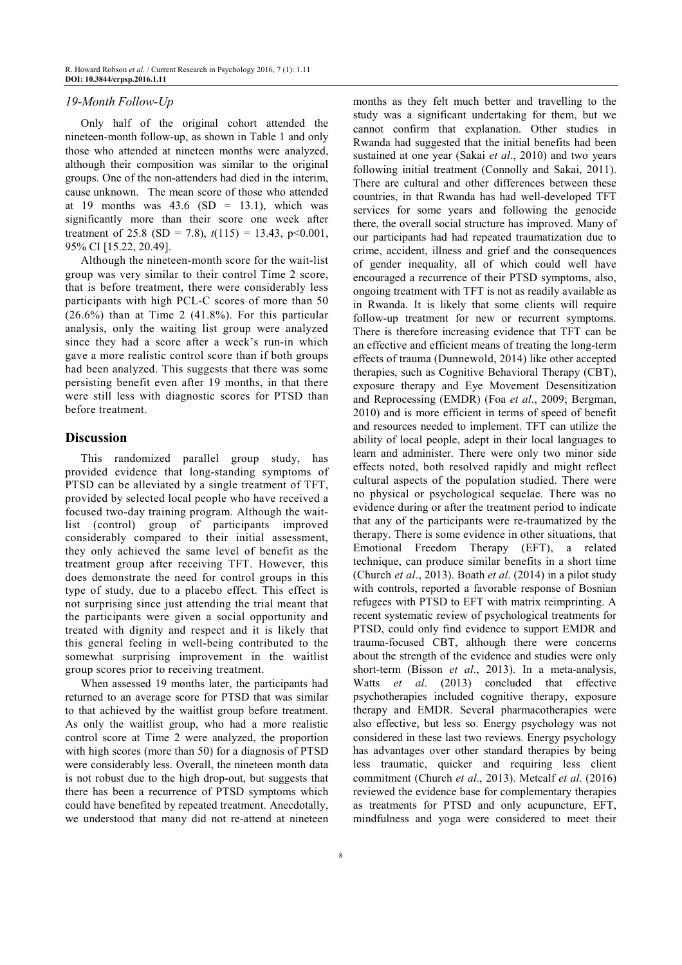### *19-Month Follow-Up*

Only half of the original cohort attended the nineteen-month follow-up, as shown in Table 1 and only those who attended at nineteen months were analyzed, although their composition was similar to the original groups. One of the non-attenders had died in the interim, cause unknown. The mean score of those who attended at 19 months was  $43.6$  (SD = 13.1), which was significantly more than their score one week after treatment of 25.8 (SD = 7.8),  $t(115) = 13.43$ , p<0.001, 95% CI [15.22, 20.49].

Although the nineteen-month score for the wait-list group was very similar to their control Time 2 score, that is before treatment, there were considerably less participants with high PCL-C scores of more than 50  $(26.6\%)$  than at Time 2  $(41.8\%)$ . For this particular analysis, only the waiting list group were analyzed since they had a score after a week's run-in which gave a more realistic control score than if both groups had been analyzed. This suggests that there was some persisting benefit even after 19 months, in that there were still less with diagnostic scores for PTSD than before treatment.

## **Discussion**

This randomized parallel group study, has provided evidence that long-standing symptoms of PTSD can be alleviated by a single treatment of TFT, provided by selected local people who have received a focused two-day training program. Although the waitlist (control) group of participants improved considerably compared to their initial assessment, they only achieved the same level of benefit as the treatment group after receiving TFT. However, this does demonstrate the need for control groups in this type of study, due to a placebo effect. This effect is not surprising since just attending the trial meant that the participants were given a social opportunity and treated with dignity and respect and it is likely that this general feeling in well-being contributed to the somewhat surprising improvement in the waitlist group scores prior to receiving treatment.

When assessed 19 months later, the participants had returned to an average score for PTSD that was similar to that achieved by the waitlist group before treatment. As only the waitlist group, who had a more realistic control score at Time 2 were analyzed, the proportion with high scores (more than 50) for a diagnosis of PTSD were considerably less. Overall, the nineteen month data is not robust due to the high drop-out, but suggests that there has been a recurrence of PTSD symptoms which could have benefited by repeated treatment. Anecdotally, we understood that many did not re-attend at nineteen study was a significant undertaking for them, but we cannot confirm that explanation. Other studies in Rwanda had suggested that the initial benefits had been sustained at one year (Sakai *et al*., 2010) and two years following initial treatment (Connolly and Sakai, 2011). There are cultural and other differences between these countries, in that Rwanda has had well-developed TFT services for some years and following the genocide there, the overall social structure has improved. Many of our participants had had repeated traumatization due to crime, accident, illness and grief and the consequences of gender inequality, all of which could well have encouraged a recurrence of their PTSD symptoms, also, ongoing treatment with TFT is not as readily available as in Rwanda. It is likely that some clients will require follow-up treatment for new or recurrent symptoms. There is therefore increasing evidence that TFT can be an effective and efficient means of treating the long-term effects of trauma (Dunnewold, 2014) like other accepted therapies, such as Cognitive Behavioral Therapy (CBT), exposure therapy and Eye Movement Desensitization and Reprocessing (EMDR) (Foa *et al*., 2009; Bergman, 2010) and is more efficient in terms of speed of benefit and resources needed to implement. TFT can utilize the ability of local people, adept in their local languages to learn and administer. There were only two minor side effects noted, both resolved rapidly and might reflect cultural aspects of the population studied. There were no physical or psychological sequelae. There was no evidence during or after the treatment period to indicate that any of the participants were re-traumatized by the therapy. There is some evidence in other situations, that Emotional Freedom Therapy (EFT), a related technique, can produce similar benefits in a short time (Church *et al*., 2013). Boath *et al*. (2014) in a pilot study with controls, reported a favorable response of Bosnian refugees with PTSD to EFT with matrix reimprinting. A recent systematic review of psychological treatments for PTSD, could only find evidence to support EMDR and trauma-focused CBT, although there were concerns about the strength of the evidence and studies were only short-term (Bisson *et al*., 2013). In a meta-analysis, Watts *et al*. (2013) concluded that effective psychotherapies included cognitive therapy, exposure therapy and EMDR. Several pharmacotherapies were also effective, but less so. Energy psychology was not considered in these last two reviews. Energy psychology has advantages over other standard therapies by being less traumatic, quicker and requiring less client commitment (Church *et al*., 2013). Metcalf *et al*. (2016) reviewed the evidence base for complementary therapies as treatments for PTSD and only acupuncture, EFT, mindfulness and yoga were considered to meet their

months as they felt much better and travelling to the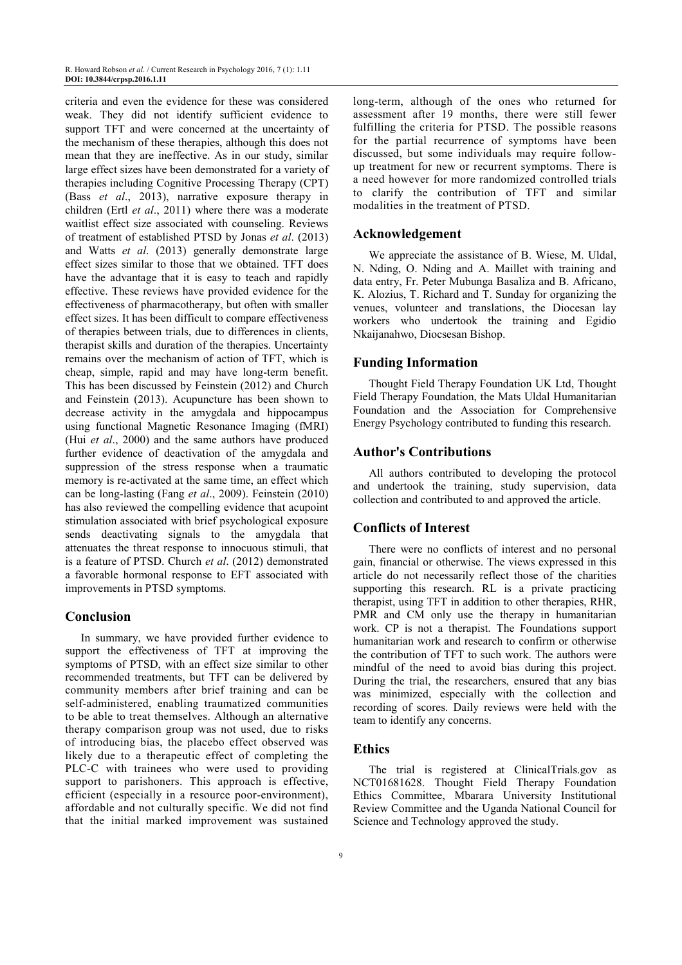criteria and even the evidence for these was considered weak. They did not identify sufficient evidence to support TFT and were concerned at the uncertainty of the mechanism of these therapies, although this does not mean that they are ineffective. As in our study, similar large effect sizes have been demonstrated for a variety of therapies including Cognitive Processing Therapy (CPT) (Bass *et al*., 2013), narrative exposure therapy in children (Ertl *et al*., 2011) where there was a moderate waitlist effect size associated with counseling. Reviews of treatment of established PTSD by Jonas *et al*. (2013) and Watts *et al*. (2013) generally demonstrate large effect sizes similar to those that we obtained. TFT does have the advantage that it is easy to teach and rapidly effective. These reviews have provided evidence for the effectiveness of pharmacotherapy, but often with smaller effect sizes. It has been difficult to compare effectiveness of therapies between trials, due to differences in clients, therapist skills and duration of the therapies. Uncertainty remains over the mechanism of action of TFT, which is cheap, simple, rapid and may have long-term benefit. This has been discussed by Feinstein (2012) and Church and Feinstein (2013). Acupuncture has been shown to decrease activity in the amygdala and hippocampus using functional Magnetic Resonance Imaging (fMRI) (Hui *et al*., 2000) and the same authors have produced further evidence of deactivation of the amygdala and suppression of the stress response when a traumatic memory is re-activated at the same time, an effect which can be long-lasting (Fang *et al*., 2009). Feinstein (2010) has also reviewed the compelling evidence that acupoint stimulation associated with brief psychological exposure sends deactivating signals to the amygdala that attenuates the threat response to innocuous stimuli, that is a feature of PTSD. Church *et al*. (2012) demonstrated a favorable hormonal response to EFT associated with improvements in PTSD symptoms.

## **Conclusion**

In summary, we have provided further evidence to support the effectiveness of TFT at improving the symptoms of PTSD, with an effect size similar to other recommended treatments, but TFT can be delivered by community members after brief training and can be self-administered, enabling traumatized communities to be able to treat themselves. Although an alternative therapy comparison group was not used, due to risks of introducing bias, the placebo effect observed was likely due to a therapeutic effect of completing the PLC-C with trainees who were used to providing support to parishoners. This approach is effective, efficient (especially in a resource poor-environment), affordable and not culturally specific. We did not find that the initial marked improvement was sustained long-term, although of the ones who returned for assessment after 19 months, there were still fewer fulfilling the criteria for PTSD. The possible reasons for the partial recurrence of symptoms have been discussed, but some individuals may require followup treatment for new or recurrent symptoms. There is a need however for more randomized controlled trials to clarify the contribution of TFT and similar modalities in the treatment of PTSD.

## **Acknowledgement**

We appreciate the assistance of B. Wiese, M. Uldal, N. Nding, O. Nding and A. Maillet with training and data entry, Fr. Peter Mubunga Basaliza and B. Africano, K. Alozius, T. Richard and T. Sunday for organizing the venues, volunteer and translations, the Diocesan lay workers who undertook the training and Egidio Nkaijanahwo, Diocsesan Bishop.

## **Funding Information**

Thought Field Therapy Foundation UK Ltd, Thought Field Therapy Foundation, the Mats Uldal Humanitarian Foundation and the Association for Comprehensive Energy Psychology contributed to funding this research.

## **Author's Contributions**

All authors contributed to developing the protocol and undertook the training, study supervision, data collection and contributed to and approved the article.

## **Conflicts of Interest**

There were no conflicts of interest and no personal gain, financial or otherwise. The views expressed in this article do not necessarily reflect those of the charities supporting this research. RL is a private practicing therapist, using TFT in addition to other therapies, RHR, PMR and CM only use the therapy in humanitarian work. CP is not a therapist. The Foundations support humanitarian work and research to confirm or otherwise the contribution of TFT to such work. The authors were mindful of the need to avoid bias during this project. During the trial, the researchers, ensured that any bias was minimized, especially with the collection and recording of scores. Daily reviews were held with the team to identify any concerns.

## **Ethics**

The trial is registered at ClinicalTrials.gov as NCT01681628. Thought Field Therapy Foundation Ethics Committee, Mbarara University Institutional Review Committee and the Uganda National Council for Science and Technology approved the study.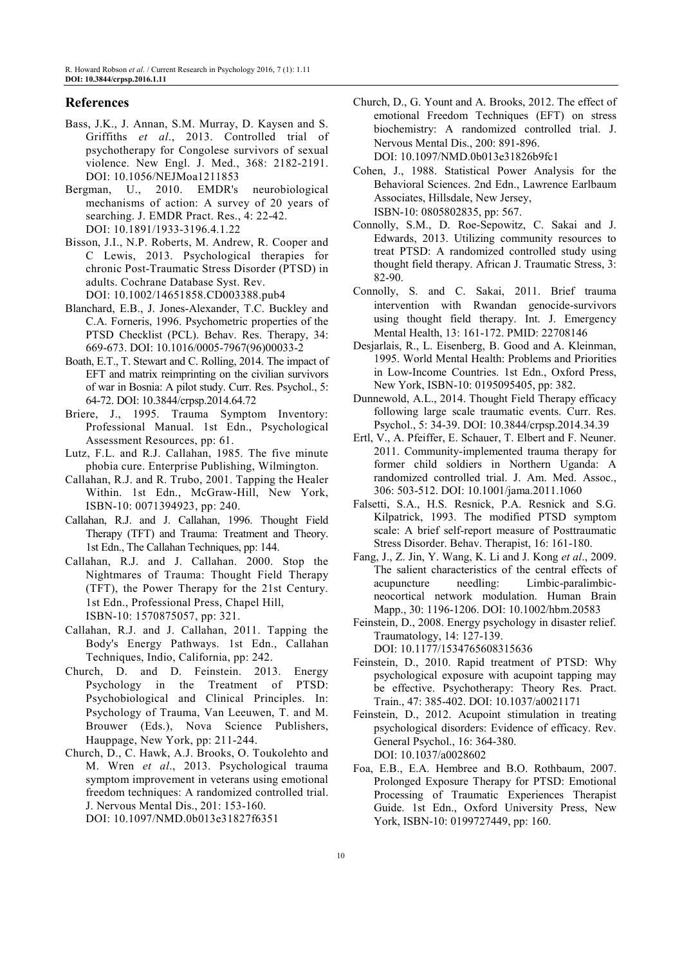## **References**

- Bass, J.K., J. Annan, S.M. Murray, D. Kaysen and S. Griffiths *et al*., 2013. Controlled trial of psychotherapy for Congolese survivors of sexual violence. New Engl. J. Med., 368: 2182-2191. DOI: 10.1056/NEJMoa1211853
- Bergman, U., 2010. EMDR's neurobiological mechanisms of action: A survey of 20 years of searching. J. EMDR Pract. Res., 4: 22-42. DOI: 10.1891/1933-3196.4.1.22
- Bisson, J.I., N.P. Roberts, M. Andrew, R. Cooper and C Lewis, 2013. Psychological therapies for chronic Post-Traumatic Stress Disorder (PTSD) in adults. Cochrane Database Syst. Rev. DOI: 10.1002/14651858.CD003388.pub4
- Blanchard, E.B., J. Jones-Alexander, T.C. Buckley and C.A. Forneris, 1996. Psychometric properties of the PTSD Checklist (PCL). Behav. Res. Therapy, 34: 669-673. DOI: 10.1016/0005-7967(96)00033-2
- Boath, E.T., T. Stewart and C. Rolling, 2014. The impact of EFT and matrix reimprinting on the civilian survivors of war in Bosnia: A pilot study. Curr. Res. Psychol., 5: 64-72. DOI: 10.3844/crpsp.2014.64.72
- Briere, J., 1995. Trauma Symptom Inventory: Professional Manual. 1st Edn., Psychological Assessment Resources, pp: 61.
- Lutz, F.L. and R.J. Callahan, 1985. The five minute phobia cure. Enterprise Publishing, Wilmington.
- Callahan, R.J. and R. Trubo, 2001. Tapping the Healer Within. 1st Edn., McGraw-Hill, New York, ISBN-10: 0071394923, pp: 240.
- Callahan, R.J. and J. Callahan, 1996. Thought Field Therapy (TFT) and Trauma: Treatment and Theory. 1st Edn., The Callahan Techniques, pp: 144.
- Callahan, R.J. and J. Callahan. 2000. Stop the Nightmares of Trauma: Thought Field Therapy (TFT), the Power Therapy for the 21st Century. 1st Edn., Professional Press, Chapel Hill, ISBN-10: 1570875057, pp: 321.
- Callahan, R.J. and J. Callahan, 2011. Tapping the Body's Energy Pathways. 1st Edn., Callahan Techniques, Indio, California, pp: 242.
- Church, D. and D. Feinstein. 2013. Energy Psychology in the Treatment of PTSD: Psychobiological and Clinical Principles. In: Psychology of Trauma, Van Leeuwen, T. and M. Brouwer (Eds.), Nova Science Publishers, Hauppage, New York, pp: 211-244.
- Church, D., C. Hawk, A.J. Brooks, O. Toukolehto and M. Wren *et al*., 2013. Psychological trauma symptom improvement in veterans using emotional freedom techniques: A randomized controlled trial. J. Nervous Mental Dis., 201: 153-160. DOI: 10.1097/NMD.0b013e31827f6351
- Church, D., G. Yount and A. Brooks, 2012. The effect of emotional Freedom Techniques (EFT) on stress biochemistry: A randomized controlled trial. J. Nervous Mental Dis., 200: 891-896. DOI: 10.1097/NMD.0b013e31826b9fc1
- Cohen, J., 1988. Statistical Power Analysis for the Behavioral Sciences. 2nd Edn., Lawrence Earlbaum Associates, Hillsdale, New Jersey, ISBN-10: 0805802835, pp: 567.
- Connolly, S.M., D. Roe-Sepowitz, C. Sakai and J. Edwards, 2013. Utilizing community resources to treat PTSD: A randomized controlled study using thought field therapy. African J. Traumatic Stress, 3: 82-90.
- Connolly, S. and C. Sakai, 2011. Brief trauma intervention with Rwandan genocide-survivors using thought field therapy. Int. J. Emergency Mental Health, 13: 161-172. PMID: 22708146
- Desjarlais, R., L. Eisenberg, B. Good and A. Kleinman, 1995. World Mental Health: Problems and Priorities in Low-Income Countries. 1st Edn., Oxford Press, New York, ISBN-10: 0195095405, pp: 382.
- Dunnewold, A.L., 2014. Thought Field Therapy efficacy following large scale traumatic events. Curr. Res. Psychol., 5: 34-39. DOI: 10.3844/crpsp.2014.34.39
- Ertl, V., A. Pfeiffer, E. Schauer, T. Elbert and F. Neuner. 2011. Community-implemented trauma therapy for former child soldiers in Northern Uganda: A randomized controlled trial. J. Am. Med. Assoc., 306: 503-512. DOI: 10.1001/jama.2011.1060
- Falsetti, S.A., H.S. Resnick, P.A. Resnick and S.G. Kilpatrick, 1993. The modified PTSD symptom scale: A brief self-report measure of Posttraumatic Stress Disorder. Behav. Therapist, 16: 161-180.
- Fang, J., Z. Jin, Y. Wang, K. Li and J. Kong *et al*., 2009. The salient characteristics of the central effects of acupuncture needling: Limbic-paralimbicneocortical network modulation. Human Brain Mapp., 30: 1196-1206. DOI: 10.1002/hbm.20583
- Feinstein, D., 2008. Energy psychology in disaster relief. Traumatology, 14: 127-139. DOI: 10.1177/1534765608315636
- Feinstein, D., 2010. Rapid treatment of PTSD: Why psychological exposure with acupoint tapping may be effective. Psychotherapy: Theory Res. Pract. Train., 47: 385-402. DOI: 10.1037/a0021171
- Feinstein, D., 2012. Acupoint stimulation in treating psychological disorders: Evidence of efficacy. Rev. General Psychol., 16: 364-380. DOI: 10.1037/a0028602
- Foa, E.B., E.A. Hembree and B.O. Rothbaum, 2007. Prolonged Exposure Therapy for PTSD: Emotional Processing of Traumatic Experiences Therapist Guide. 1st Edn., Oxford University Press, New York, ISBN-10: 0199727449, pp: 160.